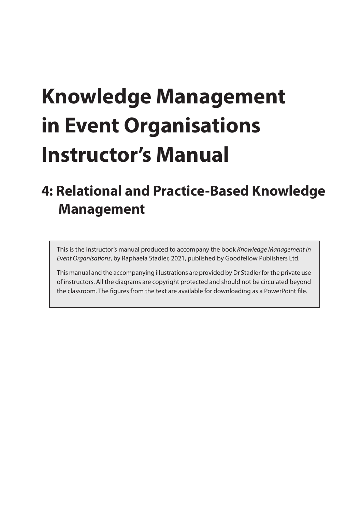# **Knowledge Management in Event Organisations Instructor's Manual**

# **4: Relational and Practice-Based Knowledge Management**

This is the instructor's manual produced to accompany the book *Knowledge Management in Event Organisations*, by Raphaela Stadler, 2021, published by Goodfellow Publishers Ltd.

This manual and the accompanying illustrations are provided by Dr Stadler for the private use of instructors. All the diagrams are copyright protected and should not be circulated beyond the classroom. The figures from the text are available for downloading as a PowerPoint file.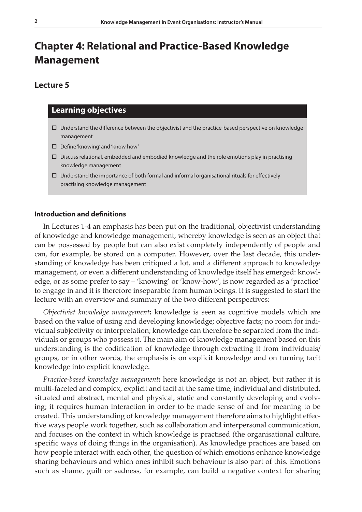## **Chapter 4: Relational and Practice-Based Knowledge Management**

#### **Lecture 5**

#### **Learning objectives**

- $\Box$  Understand the difference between the objectivist and the practice-based perspective on knowledge management
- □ Define 'knowing' and 'know how'
- $\Box$  Discuss relational, embedded and embodied knowledge and the role emotions play in practising knowledge management
- $\Box$  Understand the importance of both formal and informal organisational rituals for effectively practising knowledge management

#### **Introduction and definitions**

In Lectures 1-4 an emphasis has been put on the traditional, objectivist understanding of knowledge and knowledge management, whereby knowledge is seen as an object that can be possessed by people but can also exist completely independently of people and can, for example, be stored on a computer. However, over the last decade, this understanding of knowledge has been critiqued a lot, and a different approach to knowledge management, or even a different understanding of knowledge itself has emerged: knowledge, or as some prefer to say – 'knowing' or 'know-how', is now regarded as a 'practice' to engage in and it is therefore inseparable from human beings. It is suggested to start the lecture with an overview and summary of the two different perspectives:

*Objectivist knowledge management***:** knowledge is seen as cognitive models which are based on the value of using and developing knowledge; objective facts; no room for individual subjectivity or interpretation; knowledge can therefore be separated from the individuals or groups who possess it. The main aim of knowledge management based on this understanding is the codification of knowledge through extracting it from individuals/ groups, or in other words, the emphasis is on explicit knowledge and on turning tacit knowledge into explicit knowledge.

*Practice-based knowledge management***:** here knowledge is not an object, but rather it is multi-faceted and complex, explicit and tacit at the same time, individual and distributed, situated and abstract, mental and physical, static and constantly developing and evolving; it requires human interaction in order to be made sense of and for meaning to be created. This understanding of knowledge management therefore aims to highlight effective ways people work together, such as collaboration and interpersonal communication, and focuses on the context in which knowledge is practised (the organisational culture, specific ways of doing things in the organisation). As knowledge practices are based on how people interact with each other, the question of which emotions enhance knowledge sharing behaviours and which ones inhibit such behaviour is also part of this. Emotions such as shame, guilt or sadness, for example, can build a negative context for sharing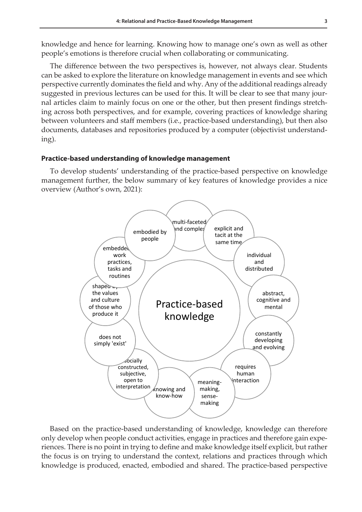knowledge and hence for learning. Knowing how to manage one's own as well as other people's emotions is therefore crucial when collaborating or communicating.

The difference between the two perspectives is, however, not always clear. Students can be asked to explore the literature on knowledge management in events and see which perspective currently dominates the field and why. Any of the additional readings already suggested in previous lectures can be used for this. It will be clear to see that many journal articles claim to mainly focus on one or the other, but then present findings stretching across both perspectives, and for example, covering practices of knowledge sharing between volunteers and staff members (i.e., practice-based understanding), but then also documents, databases and repositories produced by a computer (objectivist understanding).

#### **Practice-based understanding of knowledge management**

To develop students' understanding of the practice-based perspective on knowledge management further, the below summary of key features of knowledge provides a nice overview (Author's own, 2021):



Based on the practice-based understanding of knowledge, knowledge can therefore only develop when people conduct activities, engage in practices and therefore gain experiences. There is no point in trying to define and make knowledge itself explicit, but rather the focus is on trying to understand the context, relations and practices through which knowledge is produced, enacted, embodied and shared. The practice-based perspective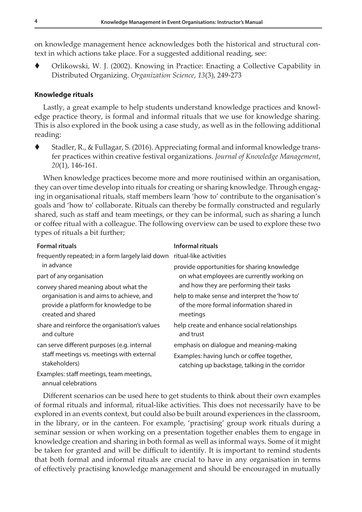on knowledge management hence acknowledges both the historical and structural context in which actions take place. For a suggested additional reading, see:

 Orlikowski, W. J. (2002). Knowing in Practice: Enacting a Collective Capability in Distributed Organizing. *Organization Science*, *13*(3), 249-273

#### **Knowledge rituals**

Lastly, a great example to help students understand knowledge practices and knowledge practice theory, is formal and informal rituals that we use for knowledge sharing. This is also explored in the book using a case study, as well as in the following additional reading:

 Stadler, R., & Fullagar, S. (2016). Appreciating formal and informal knowledge transfer practices within creative festival organizations. *Journal of Knowledge Management*, *20*(1), 146-161.

When knowledge practices become more and more routinised within an organisation, they can over time develop into rituals for creating or sharing knowledge. Through engaging in organisational rituals, staff members learn 'how to' contribute to the organisation's goals and 'how to' collaborate. Rituals can thereby be formally constructed and regularly shared, such as staff and team meetings, or they can be informal, such as sharing a lunch or coffee ritual with a colleague. The following overview can be used to explore these two types of rituals a bit further;

| <b>Formal rituals</b>                                        | Informal rituals                                                                      |
|--------------------------------------------------------------|---------------------------------------------------------------------------------------|
| frequently repeated; in a form largely laid down             | ritual-like activities                                                                |
| in advance                                                   | provide opportunities for sharing knowledge                                           |
| part of any organisation                                     | on what employees are currently working on<br>and how they are performing their tasks |
| convey shared meaning about what the                         |                                                                                       |
| organisation is and aims to achieve, and                     | help to make sense and interpret the 'how to'                                         |
| provide a platform for knowledge to be                       | of the more formal information shared in                                              |
| created and shared                                           | meetings                                                                              |
| share and reinforce the organisation's values<br>and culture | help create and enhance social relationships<br>and trust                             |
|                                                              |                                                                                       |
| can serve different purposes (e.g. internal                  | emphasis on dialogue and meaning-making                                               |
| staff meetings vs. meetings with external<br>stakeholders)   | Examples: having lunch or coffee together,                                            |
|                                                              | catching up backstage, talking in the corridor                                        |
| Examples: staff meetings, team meetings,                     |                                                                                       |
| annual celebrations                                          |                                                                                       |

Different scenarios can be used here to get students to think about their own examples of formal rituals and informal, ritual-like activities. This does not necessarily have to be explored in an events context, but could also be built around experiences in the classroom, in the library, or in the canteen. For example, 'practising' group work rituals during a seminar session or when working on a presentation together enables them to engage in knowledge creation and sharing in both formal as well as informal ways. Some of it might be taken for granted and will be difficult to identify. It is important to remind students that both formal and informal rituals are crucial to have in any organisation in terms of effectively practising knowledge management and should be encouraged in mutually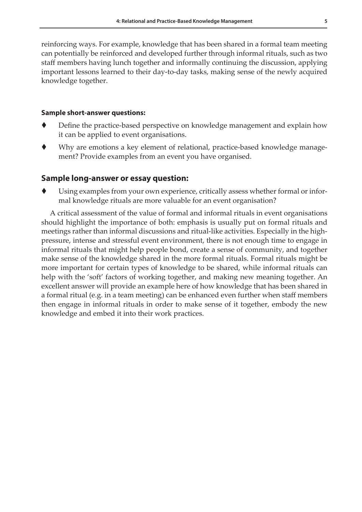reinforcing ways. For example, knowledge that has been shared in a formal team meeting can potentially be reinforced and developed further through informal rituals, such as two staff members having lunch together and informally continuing the discussion, applying important lessons learned to their day-to-day tasks, making sense of the newly acquired knowledge together.

#### **Sample short-answer questions:**

- Define the practice-based perspective on knowledge management and explain how it can be applied to event organisations.
- Why are emotions a key element of relational, practice-based knowledge management? Provide examples from an event you have organised.

#### **Sample long-answer or essay question:**

 Using examples from your own experience, critically assess whether formal or informal knowledge rituals are more valuable for an event organisation?

A critical assessment of the value of formal and informal rituals in event organisations should highlight the importance of both: emphasis is usually put on formal rituals and meetings rather than informal discussions and ritual-like activities. Especially in the highpressure, intense and stressful event environment, there is not enough time to engage in informal rituals that might help people bond, create a sense of community, and together make sense of the knowledge shared in the more formal rituals. Formal rituals might be more important for certain types of knowledge to be shared, while informal rituals can help with the 'soft' factors of working together, and making new meaning together. An excellent answer will provide an example here of how knowledge that has been shared in a formal ritual (e.g. in a team meeting) can be enhanced even further when staff members then engage in informal rituals in order to make sense of it together, embody the new knowledge and embed it into their work practices.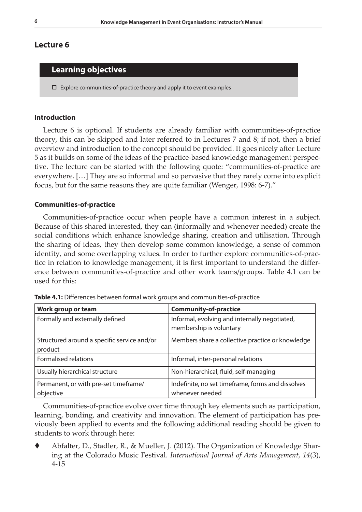#### **Lecture 6**

### **Learning objectives**

 $\square$  Explore communities-of-practice theory and apply it to event examples

#### **Introduction**

Lecture 6 is optional. If students are already familiar with communities-of-practice theory, this can be skipped and later referred to in Lectures 7 and 8; if not, then a brief overview and introduction to the concept should be provided. It goes nicely after Lecture 5 as it builds on some of the ideas of the practice-based knowledge management perspective. The lecture can be started with the following quote: "communities-of-practice are everywhere. […] They are so informal and so pervasive that they rarely come into explicit focus, but for the same reasons they are quite familiar (Wenger, 1998: 6-7)."

#### **Communities-of-practice**

Communities-of-practice occur when people have a common interest in a subject. Because of this shared interested, they can (informally and whenever needed) create the social conditions which enhance knowledge sharing, creation and utilisation. Through the sharing of ideas, they then develop some common knowledge, a sense of common identity, and some overlapping values. In order to further explore communities-of-practice in relation to knowledge management, it is first important to understand the difference between communities-of-practice and other work teams/groups. Table 4.1 can be used for this:

| Work group or team                                     | <b>Community-of-practice</b>                                             |
|--------------------------------------------------------|--------------------------------------------------------------------------|
| Formally and externally defined                        | Informal, evolving and internally negotiated,<br>membership is voluntary |
| Structured around a specific service and/or<br>product | Members share a collective practice or knowledge                         |
| Formalised relations                                   | Informal, inter-personal relations                                       |
| Usually hierarchical structure                         | Non-hierarchical, fluid, self-managing                                   |
| Permanent, or with pre-set timeframe/<br>objective     | Indefinite, no set timeframe, forms and dissolves<br>whenever needed     |

**Table 4.1:** Differences between formal work groups and communities-of-practice

Communities-of-practice evolve over time through key elements such as participation, learning, bonding, and creativity and innovation. The element of participation has previously been applied to events and the following additional reading should be given to students to work through here:

 Abfalter, D., Stadler, R., & Mueller, J. (2012). The Organization of Knowledge Sharing at the Colorado Music Festival. *International Journal of Arts Management*, *14*(3), 4-15